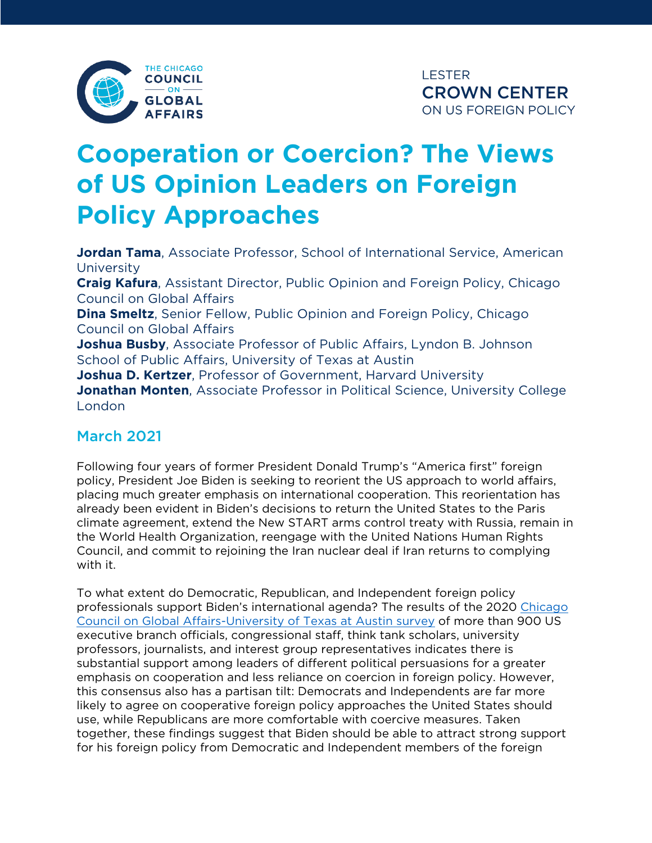

# **Cooperation or Coercion? The Views of US Opinion Leaders on Foreign Policy Approaches**

**Jordan Tama**, Associate Professor, School of International Service, American **University Craig Kafura**, Assistant Director, Public Opinion and Foreign Policy, Chicago Council on Global Affairs **Dina Smeltz**, Senior Fellow, Public Opinion and Foreign Policy, Chicago Council on Global Affairs **Joshua Busby**, Associate Professor of Public Affairs, Lyndon B. Johnson School of Public Affairs, University of Texas at Austin **Joshua D. Kertzer**, Professor of Government, Harvard University **Jonathan Monten**, Associate Professor in Political Science, University College London

## March 2021

Following four years of former President Donald Trump's "America first" foreign policy, President Joe Biden is seeking to reorient the US approach to world affairs, placing much greater emphasis on international cooperation. This reorientation has already been evident in Biden's decisions to return the United States to the Paris climate agreement, extend the New START arms control treaty with Russia, remain in the World Health Organization, reengage with the United Nations Human Rights Council, and commit to rejoining the Iran nuclear deal if Iran returns to complying with it.

To what extent do Democratic, Republican, and Independent foreign policy professionals support Biden's international agenda? The results of the 2020 [Chicago](https://www.foreignaffairs.com/articles/united-states/2020-11-03/americans-want-engage-world)  [Council on Global Affairs-University of Texas at Austin survey](https://www.foreignaffairs.com/articles/united-states/2020-11-03/americans-want-engage-world) of more than 900 US executive branch officials, congressional staff, think tank scholars, university professors, journalists, and interest group representatives indicates there is substantial support among leaders of different political persuasions for a greater emphasis on cooperation and less reliance on coercion in foreign policy. However, this consensus also has a partisan tilt: Democrats and Independents are far more likely to agree on cooperative foreign policy approaches the United States should use, while Republicans are more comfortable with coercive measures. Taken together, these findings suggest that Biden should be able to attract strong support for his foreign policy from Democratic and Independent members of the foreign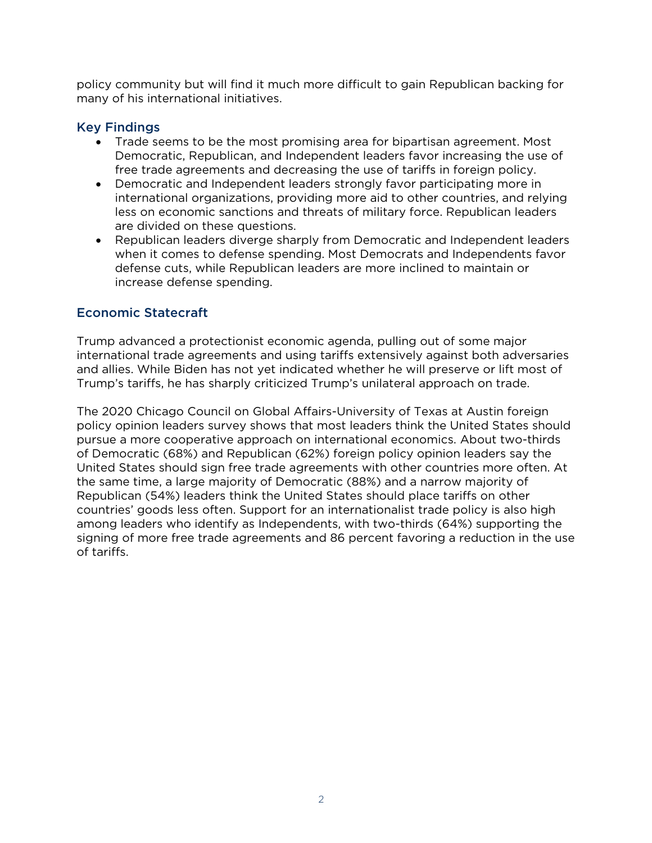policy community but will find it much more difficult to gain Republican backing for many of his international initiatives.

#### Key Findings

- Trade seems to be the most promising area for bipartisan agreement. Most Democratic, Republican, and Independent leaders favor increasing the use of free trade agreements and decreasing the use of tariffs in foreign policy.
- Democratic and Independent leaders strongly favor participating more in international organizations, providing more aid to other countries, and relying less on economic sanctions and threats of military force. Republican leaders are divided on these questions.
- Republican leaders diverge sharply from Democratic and Independent leaders when it comes to defense spending. Most Democrats and Independents favor defense cuts, while Republican leaders are more inclined to maintain or increase defense spending.

#### Economic Statecraft

Trump advanced a protectionist economic agenda, pulling out of some major international trade agreements and using tariffs extensively against both adversaries and allies. While Biden has not yet indicated whether he will preserve or lift most of Trump's tariffs, he has sharply criticized Trump's unilateral approach on trade.

The 2020 Chicago Council on Global Affairs-University of Texas at Austin foreign policy opinion leaders survey shows that most leaders think the United States should pursue a more cooperative approach on international economics. About two-thirds of Democratic (68%) and Republican (62%) foreign policy opinion leaders say the United States should sign free trade agreements with other countries more often. At the same time, a large majority of Democratic (88%) and a narrow majority of Republican (54%) leaders think the United States should place tariffs on other countries' goods less often. Support for an internationalist trade policy is also high among leaders who identify as Independents, with two-thirds (64%) supporting the signing of more free trade agreements and 86 percent favoring a reduction in the use of tariffs.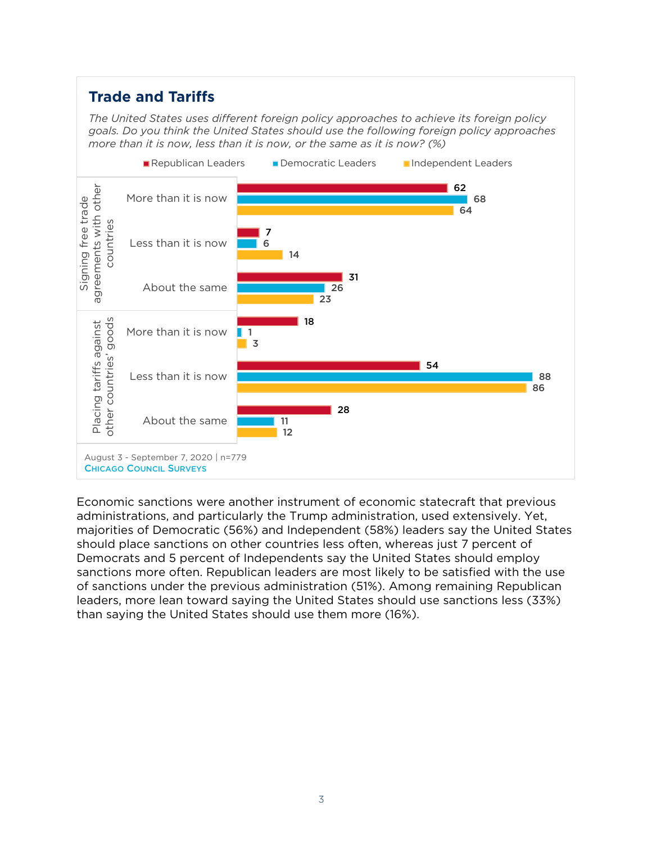# **Trade and Tariffs**

*The United States uses different foreign policy approaches to achieve its foreign policy goals. Do you think the United States should use the following foreign policy approaches more than it is now, less than it is now, or the same as it is now? (%)*



Economic sanctions were another instrument of economic statecraft that previous administrations, and particularly the Trump administration, used extensively. Yet, majorities of Democratic (56%) and Independent (58%) leaders say the United States should place sanctions on other countries less often, whereas just 7 percent of Democrats and 5 percent of Independents say the United States should employ sanctions more often. Republican leaders are most likely to be satisfied with the use of sanctions under the previous administration (51%). Among remaining Republican leaders, more lean toward saying the United States should use sanctions less (33%) than saying the United States should use them more (16%).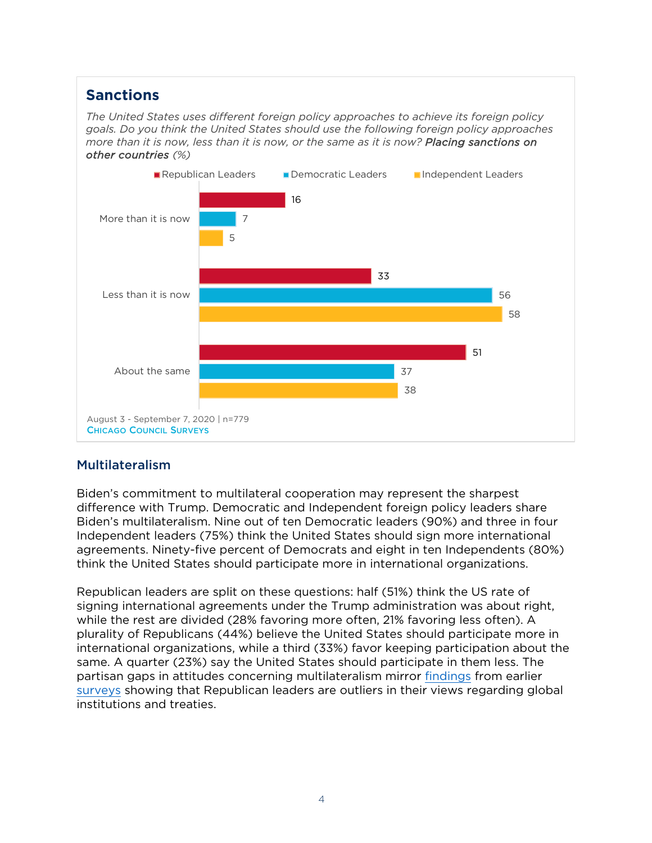## **Sanctions**

*The United States uses different foreign policy approaches to achieve its foreign policy goals. Do you think the United States should use the following foreign policy approaches more than it is now, less than it is now, or the same as it is now? Placing sanctions on other countries (%)*



## Multilateralism

Biden's commitment to multilateral cooperation may represent the sharpest difference with Trump. Democratic and Independent foreign policy leaders share Biden's multilateralism. Nine out of ten Democratic leaders (90%) and three in four Independent leaders (75%) think the United States should sign more international agreements. Ninety-five percent of Democrats and eight in ten Independents (80%) think the United States should participate more in international organizations.

Republican leaders are split on these questions: half (51%) think the US rate of signing international agreements under the Trump administration was about right, while the rest are divided (28% favoring more often, 21% favoring less often). A plurality of Republicans (44%) believe the United States should participate more in international organizations, while a third (33%) favor keeping participation about the same. A quarter (23%) say the United States should participate in them less. The partisan gaps in attitudes concerning multilateralism mirror [findings](https://www.thechicagocouncil.org/sites/default/files/2020-11/2014 Chicago Council Opinion Leaders Survey Report_FINAL.pdf) from earlier [surveys](http://sites.utexas.edu/busby/files/2011/10/BusbyMontensm.pdf) showing that Republican leaders are outliers in their views regarding global institutions and treaties.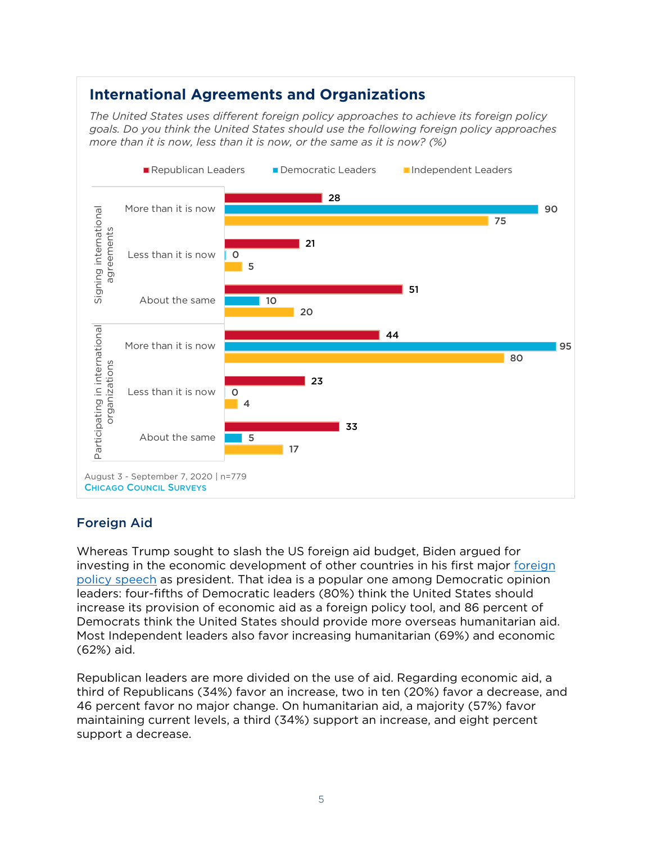## **International Agreements and Organizations**

*The United States uses different foreign policy approaches to achieve its foreign policy goals. Do you think the United States should use the following foreign policy approaches more than it is now, less than it is now, or the same as it is now? (%)*



## Foreign Aid

Whereas Trump sought to slash the US foreign aid budget, Biden argued for investing in the economic development of other countries in his first major [foreign](https://www.whitehouse.gov/briefing-room/speeches-remarks/2021/02/04/remarks-by-president-biden-on-americas-place-in-the-world/)  [policy speech](https://www.whitehouse.gov/briefing-room/speeches-remarks/2021/02/04/remarks-by-president-biden-on-americas-place-in-the-world/) as president. That idea is a popular one among Democratic opinion leaders: four-fifths of Democratic leaders (80%) think the United States should increase its provision of economic aid as a foreign policy tool, and 86 percent of Democrats think the United States should provide more overseas humanitarian aid. Most Independent leaders also favor increasing humanitarian (69%) and economic (62%) aid.

Republican leaders are more divided on the use of aid. Regarding economic aid, a third of Republicans (34%) favor an increase, two in ten (20%) favor a decrease, and 46 percent favor no major change. On humanitarian aid, a majority (57%) favor maintaining current levels, a third (34%) support an increase, and eight percent support a decrease.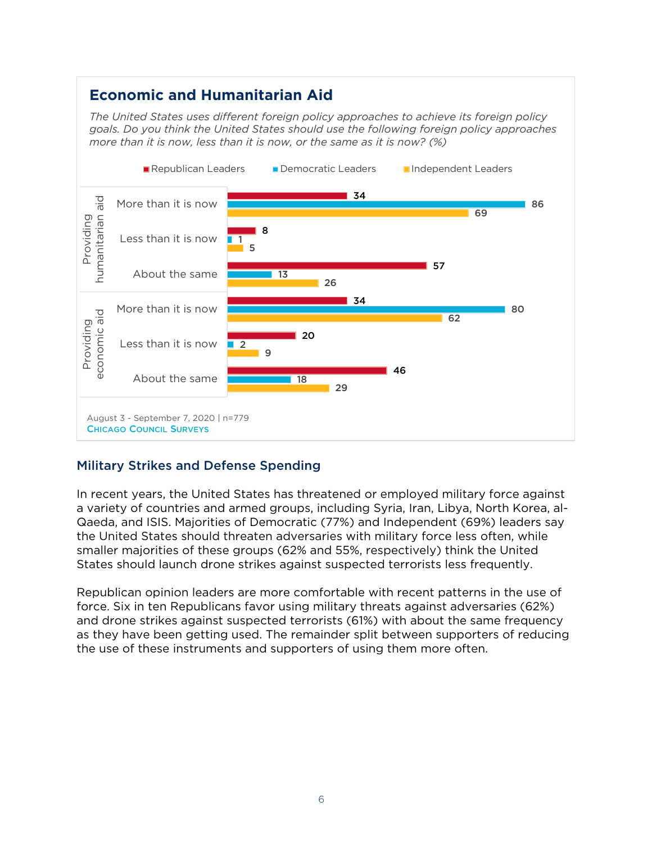## **Economic and Humanitarian Aid**

*The United States uses different foreign policy approaches to achieve its foreign policy goals. Do you think the United States should use the following foreign policy approaches more than it is now, less than it is now, or the same as it is now? (%)*



## Military Strikes and Defense Spending

In recent years, the United States has threatened or employed military force against a variety of countries and armed groups, including Syria, Iran, Libya, North Korea, al-Qaeda, and ISIS. Majorities of Democratic (77%) and Independent (69%) leaders say the United States should threaten adversaries with military force less often, while smaller majorities of these groups (62% and 55%, respectively) think the United States should launch drone strikes against suspected terrorists less frequently.

Republican opinion leaders are more comfortable with recent patterns in the use of force. Six in ten Republicans favor using military threats against adversaries (62%) and drone strikes against suspected terrorists (61%) with about the same frequency as they have been getting used. The remainder split between supporters of reducing the use of these instruments and supporters of using them more often.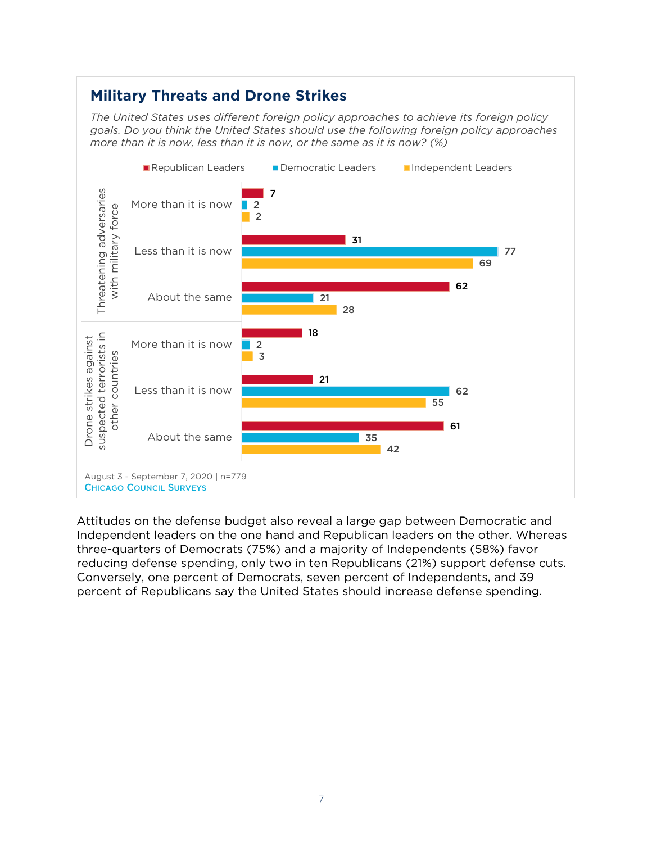## **Military Threats and Drone Strikes**

*The United States uses different foreign policy approaches to achieve its foreign policy goals. Do you think the United States should use the following foreign policy approaches more than it is now, less than it is now, or the same as it is now? (%)*



Attitudes on the defense budget also reveal a large gap between Democratic and Independent leaders on the one hand and Republican leaders on the other. Whereas three-quarters of Democrats (75%) and a majority of Independents (58%) favor reducing defense spending, only two in ten Republicans (21%) support defense cuts. Conversely, one percent of Democrats, seven percent of Independents, and 39 percent of Republicans say the United States should increase defense spending.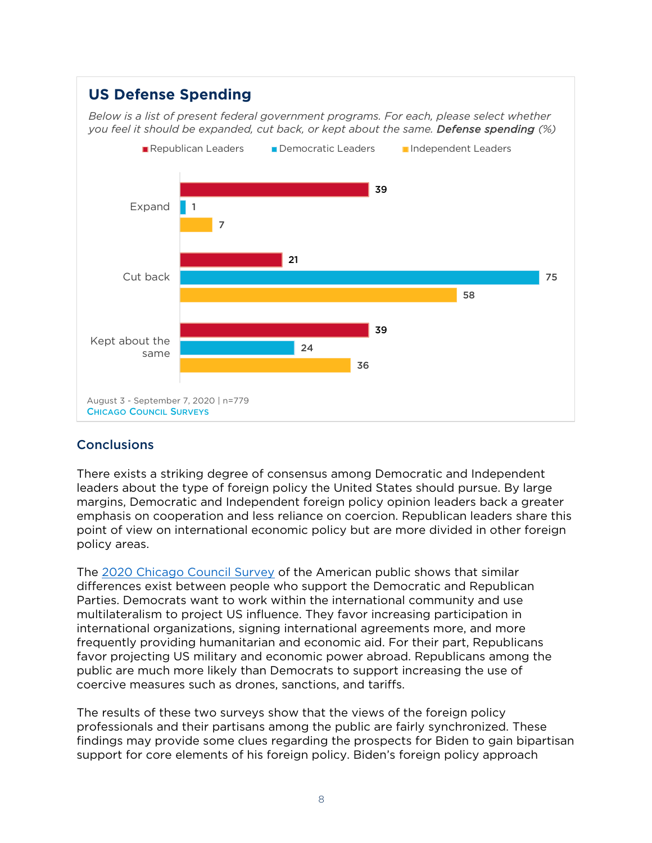# **US Defense Spending**

*Below is a list of present federal government programs. For each, please select whether you feel it should be expanded, cut back, or kept about the same. Defense spending (%)*



#### **Conclusions**

There exists a striking degree of consensus among Democratic and Independent leaders about the type of foreign policy the United States should pursue. By large margins, Democratic and Independent foreign policy opinion leaders back a greater emphasis on cooperation and less reliance on coercion. Republican leaders share this point of view on international economic policy but are more divided in other foreign policy areas.

The [2020 Chicago Council Survey](https://www.thechicagocouncil.org/research/public-opinion-survey/2020-chicago-council-survey) of the American public shows that similar differences exist between people who support the Democratic and Republican Parties. Democrats want to work within the international community and use multilateralism to project US influence. They favor increasing participation in international organizations, signing international agreements more, and more frequently providing humanitarian and economic aid. For their part, Republicans favor projecting US military and economic power abroad. Republicans among the public are much more likely than Democrats to support increasing the use of coercive measures such as drones, sanctions, and tariffs.

The results of these two surveys show that the views of the foreign policy professionals and their partisans among the public are fairly synchronized. These findings may provide some clues regarding the prospects for Biden to gain bipartisan support for core elements of his foreign policy. Biden's foreign policy approach